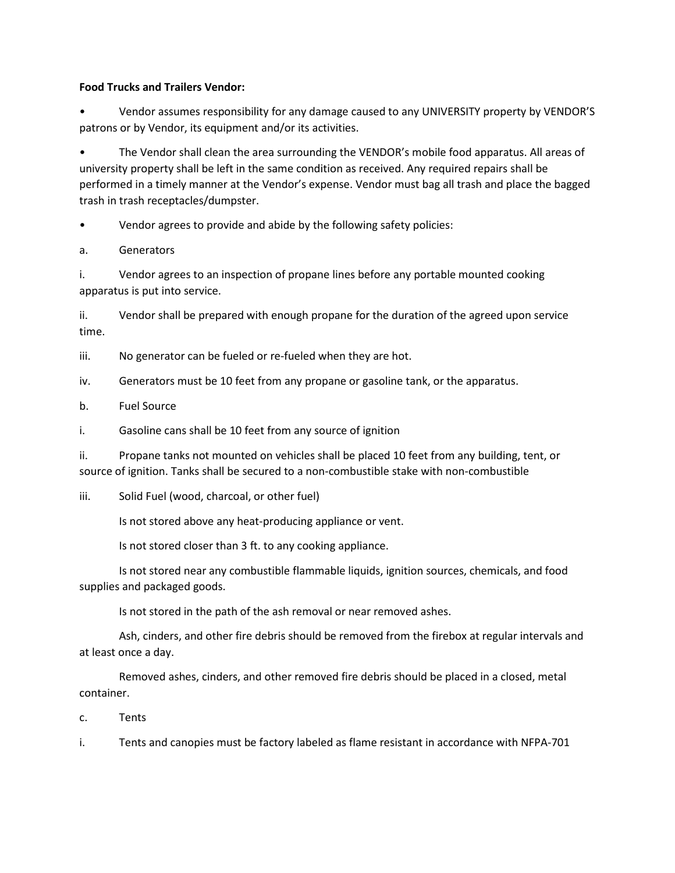## **Food Trucks and Trailers Vendor:**

• Vendor assumes responsibility for any damage caused to any UNIVERSITY property by VENDOR'S patrons or by Vendor, its equipment and/or its activities.

• The Vendor shall clean the area surrounding the VENDOR's mobile food apparatus. All areas of university property shall be left in the same condition as received. Any required repairs shall be performed in a timely manner at the Vendor's expense. Vendor must bag all trash and place the bagged trash in trash receptacles/dumpster.

Vendor agrees to provide and abide by the following safety policies:

a. Generators

i. Vendor agrees to an inspection of propane lines before any portable mounted cooking apparatus is put into service.

ii. Vendor shall be prepared with enough propane for the duration of the agreed upon service time.

iii. No generator can be fueled or re-fueled when they are hot.

iv. Generators must be 10 feet from any propane or gasoline tank, or the apparatus.

b. Fuel Source

i. Gasoline cans shall be 10 feet from any source of ignition

ii. Propane tanks not mounted on vehicles shall be placed 10 feet from any building, tent, or source of ignition. Tanks shall be secured to a non-combustible stake with non-combustible

iii. Solid Fuel (wood, charcoal, or other fuel)

Is not stored above any heat-producing appliance or vent.

Is not stored closer than 3 ft. to any cooking appliance.

Is not stored near any combustible flammable liquids, ignition sources, chemicals, and food supplies and packaged goods.

Is not stored in the path of the ash removal or near removed ashes.

Ash, cinders, and other fire debris should be removed from the firebox at regular intervals and at least once a day.

Removed ashes, cinders, and other removed fire debris should be placed in a closed, metal container.

c. Tents

i. Tents and canopies must be factory labeled as flame resistant in accordance with NFPA-701